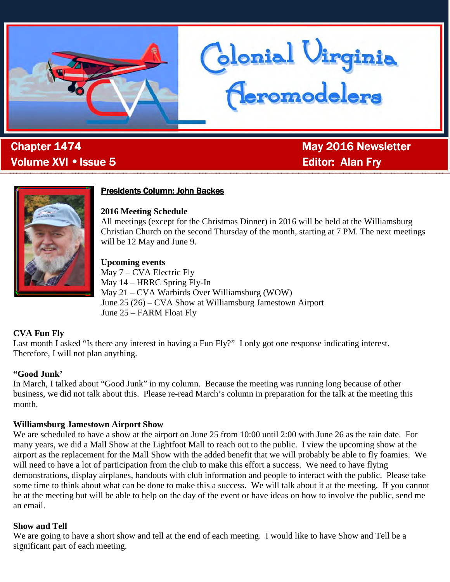

, Volume XVI • Issue 5 Alan Fry Alan Fry Alan Fry

**Chapter 1474** May 2016 Newsletter

Glonial Uirginia<br>Ceromodelers



### **Presidents Column: John Backes**

**2016 Meeting Schedule** 

All meetings (except for the Christmas Dinner) in 2016 will be held at the Williamsburg Christian Church on the second Thursday of the month, starting at 7 PM. The next meetings will be 12 May and June 9.

**Upcoming events**  May 7 – CVA Electric Fly May 14 – HRRC Spring Fly-In May 21 – CVA Warbirds Over Williamsburg (WOW) June 25 (26) – CVA Show at Williamsburg Jamestown Airport June 25 – FARM Float Fly

#### **CVA Fun Fly**

Last month I asked "Is there any interest in having a Fun Fly?" I only got one response indicating interest. Therefore, I will not plan anything.

#### **"Good Junk'**

In March, I talked about "Good Junk" in my column. Because the meeting was running long because of other business, we did not talk about this. Please re-read March's column in preparation for the talk at the meeting this month.

#### **Williamsburg Jamestown Airport Show**

We are scheduled to have a show at the airport on June 25 from 10:00 until 2:00 with June 26 as the rain date. For many years, we did a Mall Show at the Lightfoot Mall to reach out to the public. I view the upcoming show at the airport as the replacement for the Mall Show with the added benefit that we will probably be able to fly foamies. We will need to have a lot of participation from the club to make this effort a success. We need to have flying demonstrations, display airplanes, handouts with club information and people to interact with the public. Please take some time to think about what can be done to make this a success. We will talk about it at the meeting. If you cannot be at the meeting but will be able to help on the day of the event or have ideas on how to involve the public, send me an email.

#### **Show and Tell**

We are going to have a short show and tell at the end of each meeting. I would like to have Show and Tell be a significant part of each meeting.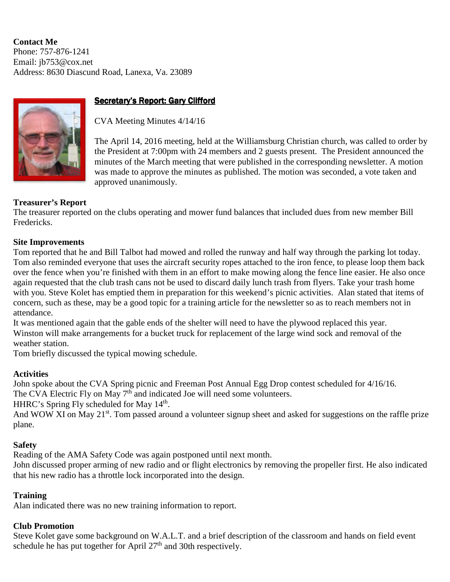**Contact Me**  Phone: 757-876-1241 Email: jb753@cox.net Address: 8630 Diascund Road, Lanexa, Va. 23089



## Secretary's Report: Gary Clifford

CVA Meeting Minutes 4/14/16

The April 14, 2016 meeting, held at the Williamsburg Christian church, was called to order by the President at 7:00pm with 24 members and 2 guests present. The President announced the minutes of the March meeting that were published in the corresponding newsletter. A motion was made to approve the minutes as published. The motion was seconded, a vote taken and approved unanimously.

## **Treasurer's Report**

The treasurer reported on the clubs operating and mower fund balances that included dues from new member Bill Fredericks.

#### **Site Improvements**

Tom reported that he and Bill Talbot had mowed and rolled the runway and half way through the parking lot today. Tom also reminded everyone that uses the aircraft security ropes attached to the iron fence, to please loop them back over the fence when you're finished with them in an effort to make mowing along the fence line easier. He also once again requested that the club trash cans not be used to discard daily lunch trash from flyers. Take your trash home with you. Steve Kolet has emptied them in preparation for this weekend's picnic activities. Alan stated that items of concern, such as these, may be a good topic for a training article for the newsletter so as to reach members not in attendance.

It was mentioned again that the gable ends of the shelter will need to have the plywood replaced this year. Winston will make arrangements for a bucket truck for replacement of the large wind sock and removal of the weather station.

Tom briefly discussed the typical mowing schedule.

#### **Activities**

John spoke about the CVA Spring picnic and Freeman Post Annual Egg Drop contest scheduled for 4/16/16. The CVA Electric Fly on May 7<sup>th</sup> and indicated Joe will need some volunteers.

HHRC's Spring Fly scheduled for May 14<sup>th</sup>.

And WOW XI on May 21<sup>st</sup>. Tom passed around a volunteer signup sheet and asked for suggestions on the raffle prize plane.

#### **Safety**

Reading of the AMA Safety Code was again postponed until next month.

John discussed proper arming of new radio and or flight electronics by removing the propeller first. He also indicated that his new radio has a throttle lock incorporated into the design.

#### **Training**

Alan indicated there was no new training information to report.

#### **Club Promotion**

Steve Kolet gave some background on W.A.L.T. and a brief description of the classroom and hands on field event schedule he has put together for April  $27<sup>th</sup>$  and 30th respectively.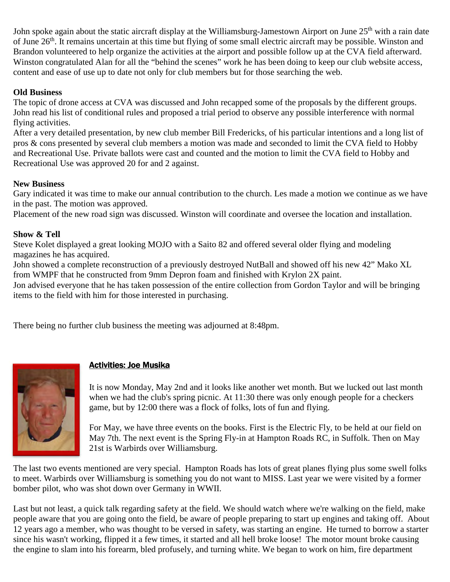John spoke again about the static aircraft display at the Williamsburg-Jamestown Airport on June 25<sup>th</sup> with a rain date of June 26<sup>th</sup>. It remains uncertain at this time but flying of some small electric aircraft may be possible. Winston and Brandon volunteered to help organize the activities at the airport and possible follow up at the CVA field afterward. Winston congratulated Alan for all the "behind the scenes" work he has been doing to keep our club website access, content and ease of use up to date not only for club members but for those searching the web.

## **Old Business**

The topic of drone access at CVA was discussed and John recapped some of the proposals by the different groups. John read his list of conditional rules and proposed a trial period to observe any possible interference with normal flying activities.

After a very detailed presentation, by new club member Bill Fredericks, of his particular intentions and a long list of pros & cons presented by several club members a motion was made and seconded to limit the CVA field to Hobby and Recreational Use. Private ballots were cast and counted and the motion to limit the CVA field to Hobby and Recreational Use was approved 20 for and 2 against.

#### **New Business**

Gary indicated it was time to make our annual contribution to the church. Les made a motion we continue as we have in the past. The motion was approved.

Placement of the new road sign was discussed. Winston will coordinate and oversee the location and installation.

### **Show & Tell**

Steve Kolet displayed a great looking MOJO with a Saito 82 and offered several older flying and modeling magazines he has acquired.

John showed a complete reconstruction of a previously destroyed NutBall and showed off his new 42" Mako XL from WMPF that he constructed from 9mm Depron foam and finished with Krylon 2X paint.

Jon advised everyone that he has taken possession of the entire collection from Gordon Taylor and will be bringing items to the field with him for those interested in purchasing.

There being no further club business the meeting was adjourned at 8:48pm.



## **Activities: Joe Musika**

It is now Monday, May 2nd and it looks like another wet month. But we lucked out last month when we had the club's spring picnic. At 11:30 there was only enough people for a checkers game, but by 12:00 there was a flock of folks, lots of fun and flying.

For May, we have three events on the books. First is the Electric Fly, to be held at our field on May 7th. The next event is the Spring Fly-in at Hampton Roads RC, in Suffolk. Then on May 21st is Warbirds over Williamsburg.

The last two events mentioned are very special. Hampton Roads has lots of great planes flying plus some swell folks to meet. Warbirds over Williamsburg is something you do not want to MISS. Last year we were visited by a former bomber pilot, who was shot down over Germany in WWII.

Last but not least, a quick talk regarding safety at the field. We should watch where we're walking on the field, make people aware that you are going onto the field, be aware of people preparing to start up engines and taking off. About 12 years ago a member, who was thought to be versed in safety, was starting an engine. He turned to borrow a starter since his wasn't working, flipped it a few times, it started and all hell broke loose! The motor mount broke causing the engine to slam into his forearm, bled profusely, and turning white. We began to work on him, fire department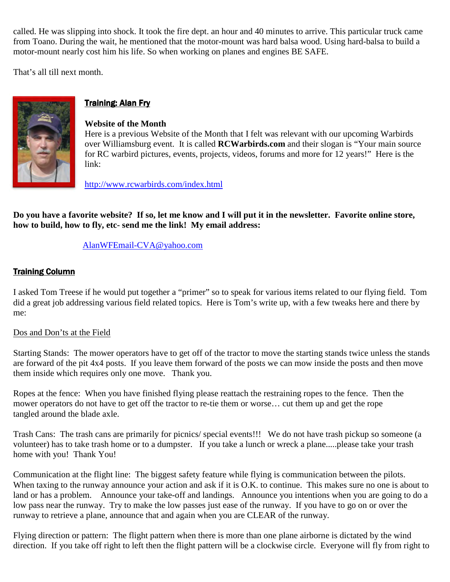called. He was slipping into shock. It took the fire dept. an hour and 40 minutes to arrive. This particular truck came from Toano. During the wait, he mentioned that the motor-mount was hard balsa wood. Using hard-balsa to build a motor-mount nearly cost him his life. So when working on planes and engines BE SAFE.

That's all till next month.



# **Training: Alan Fry**

#### **Website of the Month**

Here is a previous Website of the Month that I felt was relevant with our upcoming Warbirds over Williamsburg event. It is called **RCWarbirds.com** and their slogan is "Your main source for RC warbird pictures, events, projects, videos, forums and more for 12 years!" Here is the link:

http://www.rcwarbirds.com/index.html

**Do you have a favorite website? If so, let me know and I will put it in the newsletter. Favorite online store, how to build, how to fly, etc- send me the link! My email address:** 

#### AlanWFEmail-CVA@yahoo.com

#### **Training Column**

I asked Tom Treese if he would put together a "primer" so to speak for various items related to our flying field. Tom did a great job addressing various field related topics. Here is Tom's write up, with a few tweaks here and there by me:

#### Dos and Don'ts at the Field

Starting Stands: The mower operators have to get off of the tractor to move the starting stands twice unless the stands are forward of the pit 4x4 posts. If you leave them forward of the posts we can mow inside the posts and then move them inside which requires only one move. Thank you.

Ropes at the fence: When you have finished flying please reattach the restraining ropes to the fence. Then the mower operators do not have to get off the tractor to re-tie them or worse… cut them up and get the rope tangled around the blade axle.

Trash Cans: The trash cans are primarily for picnics/ special events!!! We do not have trash pickup so someone (a volunteer) has to take trash home or to a dumpster. If you take a lunch or wreck a plane.....please take your trash home with you! Thank You!

Communication at the flight line: The biggest safety feature while flying is communication between the pilots. When taxing to the runway announce your action and ask if it is O.K. to continue. This makes sure no one is about to land or has a problem. Announce your take-off and landings. Announce you intentions when you are going to do a low pass near the runway. Try to make the low passes just ease of the runway. If you have to go on or over the runway to retrieve a plane, announce that and again when you are CLEAR of the runway.

Flying direction or pattern: The flight pattern when there is more than one plane airborne is dictated by the wind direction. If you take off right to left then the flight pattern will be a clockwise circle. Everyone will fly from right to